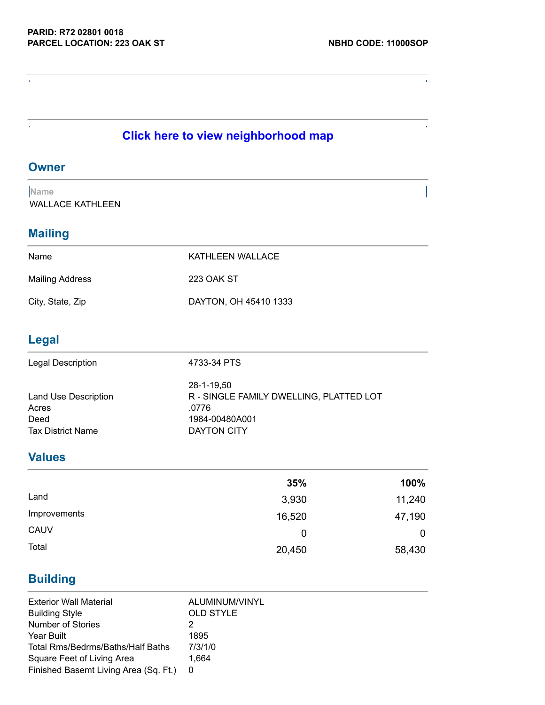$\bar{1}$ 

# **Click here to view [neighborhood](http://www.mcrealestate.org/pdffiles/nbhds/11000SOP.pdf) map**

#### **Owner**

 $\epsilon$ 

Ŷ.

**Name** WALLACE KATHLEEN

#### **Mailing**

| Name                   | KATHLEEN WALLACE      |
|------------------------|-----------------------|
| <b>Mailing Address</b> | 223 OAK ST            |
| City, State, Zip       | DAYTON, OH 45410 1333 |

## **Legal**

| <b>Legal Description</b> | 4733-34 PTS                             |
|--------------------------|-----------------------------------------|
|                          | 28-1-19.50                              |
| Land Use Description     | R - SINGLE FAMILY DWELLING, PLATTED LOT |
| Acres                    | .0776                                   |
| Deed                     | 1984-00480A001                          |
| <b>Tax District Name</b> | DAYTON CITY                             |

## **Values**

|              | 35%    | 100%   |
|--------------|--------|--------|
| Land         | 3,930  | 11,240 |
| Improvements | 16,520 | 47,190 |
| CAUV         | 0      | 0      |
| Total        | 20,450 | 58,430 |

## **Building**

| <b>Exterior Wall Material</b>         | ALUMINUM/VINYL   |
|---------------------------------------|------------------|
| <b>Building Style</b>                 | <b>OLD STYLE</b> |
| Number of Stories                     |                  |
| Year Built                            | 1895             |
| Total Rms/Bedrms/Baths/Half Baths     | 7/3/1/0          |
| Square Feet of Living Area            | 1.664            |
| Finished Basemt Living Area (Sq. Ft.) | 0                |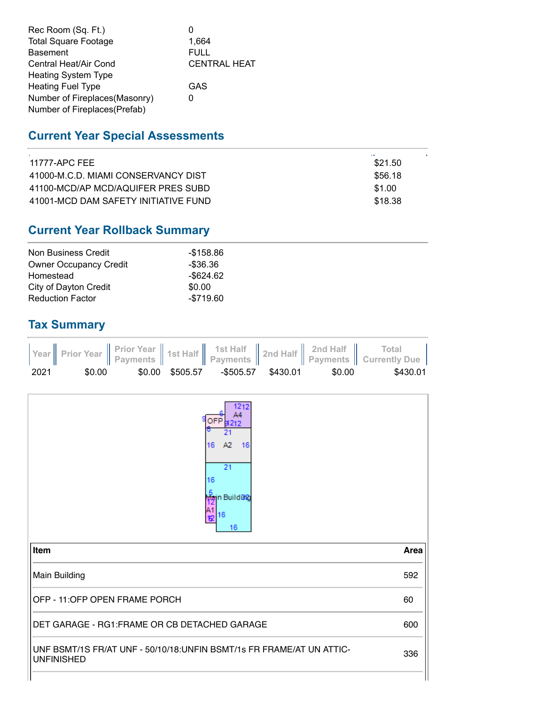| Rec Room (Sq. Ft.)            |                     |
|-------------------------------|---------------------|
| <b>Total Square Footage</b>   | 1.664               |
| <b>Basement</b>               | <b>FULL</b>         |
| Central Heat/Air Cond         | <b>CENTRAL HEAT</b> |
| <b>Heating System Type</b>    |                     |
| <b>Heating Fuel Type</b>      | GAS                 |
| Number of Fireplaces(Masonry) |                     |
| Number of Fireplaces(Prefab)  |                     |

### **Current Year Special Assessments**

| 11777-APC FFE                        | \$21.50 |  |
|--------------------------------------|---------|--|
| 41000-M.C.D. MIAMI CONSERVANCY DIST  | \$56.18 |  |
| 41100-MCD/AP MCD/AQUIFER PRES SUBD   | \$1.00  |  |
| 41001-MCD DAM SAFETY INITIATIVE FUND | \$18.38 |  |
|                                      |         |  |

# **Current Year Rollback Summary**

| Non Business Credit           | -\$158.86    |
|-------------------------------|--------------|
| <b>Owner Occupancy Credit</b> | $-$ \$36.36  |
| Homestead                     | $-$ \$624.62 |
| City of Dayton Credit         | \$0.00       |
| <b>Reduction Factor</b>       | $-$719.60$   |

#### **Tax Summary**



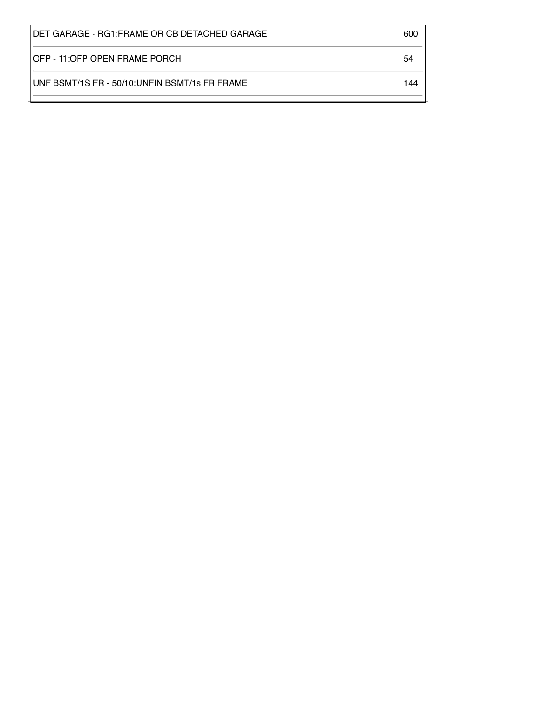| 600 |
|-----|
| 54  |
| 144 |
|     |